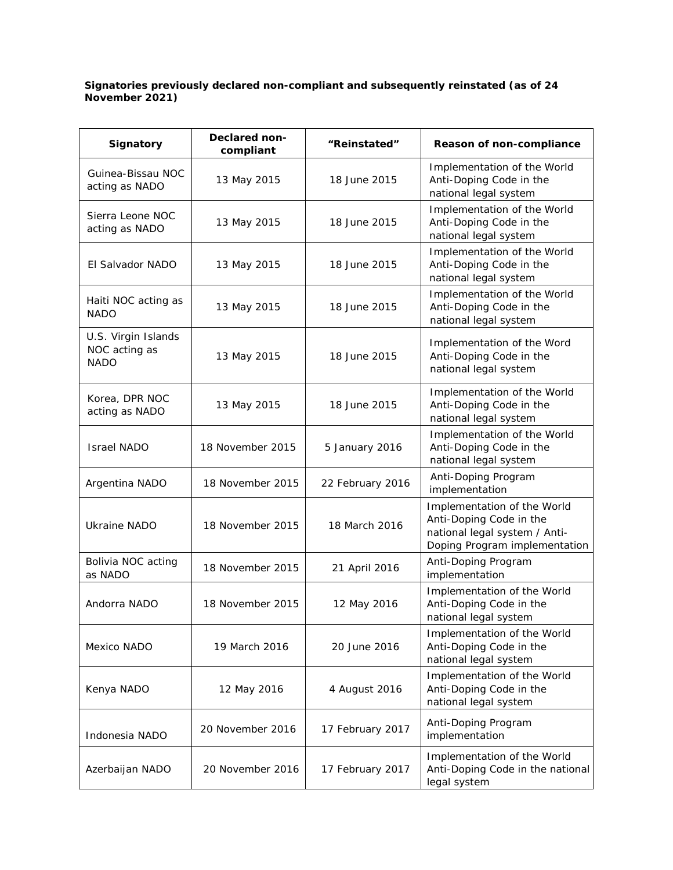## **Signatories previously declared non-compliant and subsequently reinstated (as of 24 November 2021)**

| <b>Signatory</b>                                    | Declared non-<br>compliant | "Reinstated"     | Reason of non-compliance                                                                                                 |
|-----------------------------------------------------|----------------------------|------------------|--------------------------------------------------------------------------------------------------------------------------|
| Guinea-Bissau NOC<br>acting as NADO                 | 13 May 2015                | 18 June 2015     | Implementation of the World<br>Anti-Doping Code in the<br>national legal system                                          |
| Sierra Leone NOC<br>acting as NADO                  | 13 May 2015                | 18 June 2015     | Implementation of the World<br>Anti-Doping Code in the<br>national legal system                                          |
| El Salvador NADO                                    | 13 May 2015                | 18 June 2015     | Implementation of the World<br>Anti-Doping Code in the<br>national legal system                                          |
| Haiti NOC acting as<br><b>NADO</b>                  | 13 May 2015                | 18 June 2015     | Implementation of the World<br>Anti-Doping Code in the<br>national legal system                                          |
| U.S. Virgin Islands<br>NOC acting as<br><b>NADO</b> | 13 May 2015                | 18 June 2015     | Implementation of the Word<br>Anti-Doping Code in the<br>national legal system                                           |
| Korea, DPR NOC<br>acting as NADO                    | 13 May 2015                | 18 June 2015     | Implementation of the World<br>Anti-Doping Code in the<br>national legal system                                          |
| <b>Israel NADO</b>                                  | 18 November 2015           | 5 January 2016   | Implementation of the World<br>Anti-Doping Code in the<br>national legal system                                          |
| Argentina NADO                                      | 18 November 2015           | 22 February 2016 | Anti-Doping Program<br>implementation                                                                                    |
| <b>Ukraine NADO</b>                                 | 18 November 2015           | 18 March 2016    | Implementation of the World<br>Anti-Doping Code in the<br>national legal system / Anti-<br>Doping Program implementation |
| Bolivia NOC acting<br>as NADO                       | 18 November 2015           | 21 April 2016    | Anti-Doping Program<br>implementation                                                                                    |
| Andorra NADO                                        | 18 November 2015           | 12 May 2016      | Implementation of the World<br>Anti-Doping Code in the<br>national legal system                                          |
| Mexico NADO                                         | 19 March 2016              | 20 June 2016     | Implementation of the World<br>Anti-Doping Code in the<br>national legal system                                          |
| Kenya NADO                                          | 12 May 2016                | 4 August 2016    | Implementation of the World<br>Anti-Doping Code in the<br>national legal system                                          |
| Indonesia NADO                                      | 20 November 2016           | 17 February 2017 | Anti-Doping Program<br>implementation                                                                                    |
| Azerbaijan NADO                                     | 20 November 2016           | 17 February 2017 | Implementation of the World<br>Anti-Doping Code in the national<br>legal system                                          |